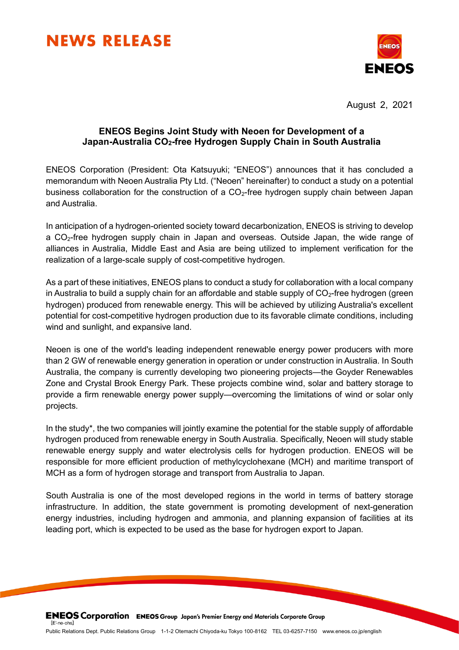## **NEWS RELEASE**



August 2, 2021

## **ENEOS Begins Joint Study with Neoen for Development of a Japan-Australia CO2-free Hydrogen Supply Chain in South Australia**

ENEOS Corporation (President: Ota Katsuyuki; "ENEOS") announces that it has concluded a memorandum with Neoen Australia Pty Ltd. ("Neoen" hereinafter) to conduct a study on a potential business collaboration for the construction of a  $CO<sub>2</sub>$ -free hydrogen supply chain between Japan and Australia.

In anticipation of a hydrogen-oriented society toward decarbonization, ENEOS is striving to develop a CO<sub>2</sub>-free hydrogen supply chain in Japan and overseas. Outside Japan, the wide range of alliances in Australia, Middle East and Asia are being utilized to implement verification for the realization of a large-scale supply of cost-competitive hydrogen.

As a part of these initiatives, ENEOS plans to conduct a study for collaboration with a local company in Australia to build a supply chain for an affordable and stable supply of  $CO<sub>2</sub>$ -free hydrogen (green hydrogen) produced from renewable energy. This will be achieved by utilizing Australia's excellent potential for cost-competitive hydrogen production due to its favorable climate conditions, including wind and sunlight, and expansive land.

Neoen is one of the world's leading independent renewable energy power producers with more than 2 GW of renewable energy generation in operation or under construction in Australia. In South Australia, the company is currently developing two pioneering projects—the Goyder Renewables Zone and Crystal Brook Energy Park. These projects combine wind, solar and battery storage to provide a firm renewable energy power supply—overcoming the limitations of wind or solar only projects.

In the study\*, the two companies will jointly examine the potential for the stable supply of affordable hydrogen produced from renewable energy in South Australia. Specifically, Neoen will study stable renewable energy supply and water electrolysis cells for hydrogen production. ENEOS will be responsible for more efficient production of methylcyclohexane (MCH) and maritime transport of MCH as a form of hydrogen storage and transport from Australia to Japan.

South Australia is one of the most developed regions in the world in terms of battery storage infrastructure. In addition, the state government is promoting development of next-generation energy industries, including hydrogen and ammonia, and planning expansion of facilities at its leading port, which is expected to be used as the base for hydrogen export to Japan.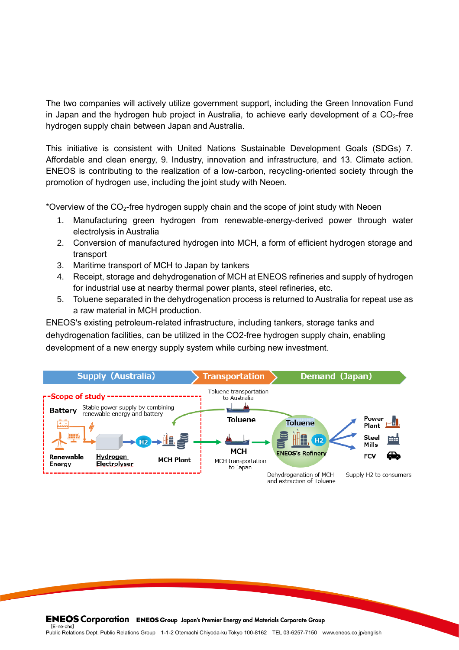The two companies will actively utilize government support, including the Green Innovation Fund in Japan and the hydrogen hub project in Australia, to achieve early development of a  $CO<sub>2</sub>$ -free hydrogen supply chain between Japan and Australia.

This initiative is consistent with United Nations Sustainable Development Goals (SDGs) 7. Affordable and clean energy, 9. Industry, innovation and infrastructure, and 13. Climate action. ENEOS is contributing to the realization of a low-carbon, recycling-oriented society through the promotion of hydrogen use, including the joint study with Neoen.

\*Overview of the  $CO<sub>2</sub>$ -free hydrogen supply chain and the scope of joint study with Neoen

- 1. Manufacturing green hydrogen from renewable-energy-derived power through water electrolysis in Australia
- 2. Conversion of manufactured hydrogen into MCH, a form of efficient hydrogen storage and transport
- 3. Maritime transport of MCH to Japan by tankers
- 4. Receipt, storage and dehydrogenation of MCH at ENEOS refineries and supply of hydrogen for industrial use at nearby thermal power plants, steel refineries, etc.
- 5. Toluene separated in the dehydrogenation process is returned to Australia for repeat use as a raw material in MCH production.

ENEOS's existing petroleum-related infrastructure, including tankers, storage tanks and dehydrogenation facilities, can be utilized in the CO2-free hydrogen supply chain, enabling development of a new energy supply system while curbing new investment.



**ENEOS** Corporation ENEOS Group Japan's Premier Energy and Materials Corporate Group

Public Relations Dept. Public Relations Group 1-1-2 Otemachi Chiyoda-ku Tokyo 100-8162 TEL 03-6257-7150 www.eneos.co.jp/english